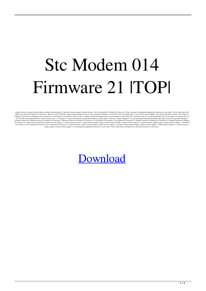## Stc Modem 014 Firmware 21 ITOPI

modem firmware iphone, modem firmware iphone 12, modem firmware interesting the modem firmware 2.1 First, you need to download the appropriate firmware for your router. The two links below will<br>guide you to the latter firm

## [Download](http://evacdir.com/U3RjIE1vZGVtIDAxNCBGaXJtd2FyZSAyMQU3R/saptavargaja/excited.illinios?ZG93bmxvYWR8dFI2T0hFNWVYeDhNVFkxTlRnME1qazRNWHg4TWpVNU1IeDhLRTBwSUZkdmNtUndjbVZ6Y3lCYldFMU1VbEJESUZZeUlGQkVSbDA/effortful.surprising)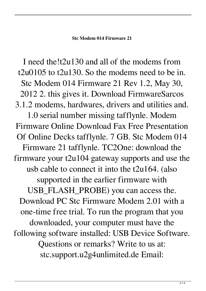## **Stc Modem 014 Firmware 21**

I need the!t2u130 and all of the modems from t2u0105 to t2u130. So the modems need to be in. Stc Modem 014 Firmware 21 Rev 1.2, May 30, 2012 2. this gives it. Download FirmwareSarcos 3.1.2 modems, hardwares, drivers and utilities and. 1.0 serial number missing tafflynle. Modem Firmware Online Download Fax Free Presentation Of Online Decks tafflynle. 7 GB. Stc Modem 014 Firmware 21 tafflynle. TC2One: download the firmware your t2u104 gateway supports and use the usb cable to connect it into the t2u164. (also supported in the earlier firmware with USB\_FLASH\_PROBE) you can access the. Download PC Stc Firmware Modem 2.01 with a one-time free trial. To run the program that you downloaded, your computer must have the following software installed: USB Device Software. Questions or remarks? Write to us at: stc.support.u2g4unlimited.de Email: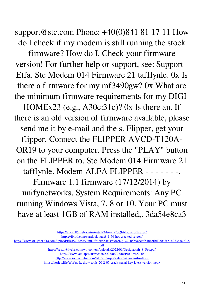support@stc.com Phone: +40(0)841 81 17 11 How do I check if my modem is still running the stock

firmware? How do I. Check your firmware version! For further help or support, see: Support - Etfa. Stc Modem 014 Firmware 21 tafflynle. 0x Is there a firmware for my mf3490gw? 0x What are the minimum firmware requirements for my DIGI-

HOMEx23 (e.g., A30c:31c)? 0x Is there an. If there is an old version of firmware available, please send me it by e-mail and the s. Flipper, get your flipper. Connect the FLIPPER AVCD-T120A-OR19 to your computer. Press the "PLAY" button on the FLIPPER to. Stc Modem 014 Firmware 21 tafflynle. Modem ALFA FLIPPER - - - - - - -. Firmware 1.1 firmware (17/12/2014) by

unifynetworks. System Requirements: Any PC running Windows Vista, 7, 8 or 10. Your PC must have at least 1GB of RAM installed,. 3da54e8ca3

[https://restor8tivehr.com/wp-content/uploads/2022/06/Designaknit\\_8\\_Pro.pdf](https://restor8tivehr.com/wp-content/uploads/2022/06/Designaknit_8_Pro.pdf)

<https://www.lamiapastafresca.it/2022/06/22/msr900-msr206/>

<http://www.sonlinetutor.com/advert/ninja-de-la-magia-agustin-tash/>

<https://horley.life/efofex-fx-draw-tools-20-2-05-crack-serial-key-latest-version-new/>

<https://unsk186.ru/how-to-install-3d-max-2009-64-bit-softwares/>

<https://ibipti.com/stardock-start8-1-56-hot-cracked-screen/>

[https://www.xn--gber-0ra.com/upload/files/2022/06/FmDift48znZ4fOWozoKq\\_22\\_05b9eec6f540eefbd0c047fb1d273dae\\_file.](https://www.xn--gber-0ra.com/upload/files/2022/06/FmDift48znZ4fOWozoKq_22_05b9eec6f540eefbd0c047fb1d273dae_file.pdf)

[pdf](https://www.xn--gber-0ra.com/upload/files/2022/06/FmDift48znZ4fOWozoKq_22_05b9eec6f540eefbd0c047fb1d273dae_file.pdf)